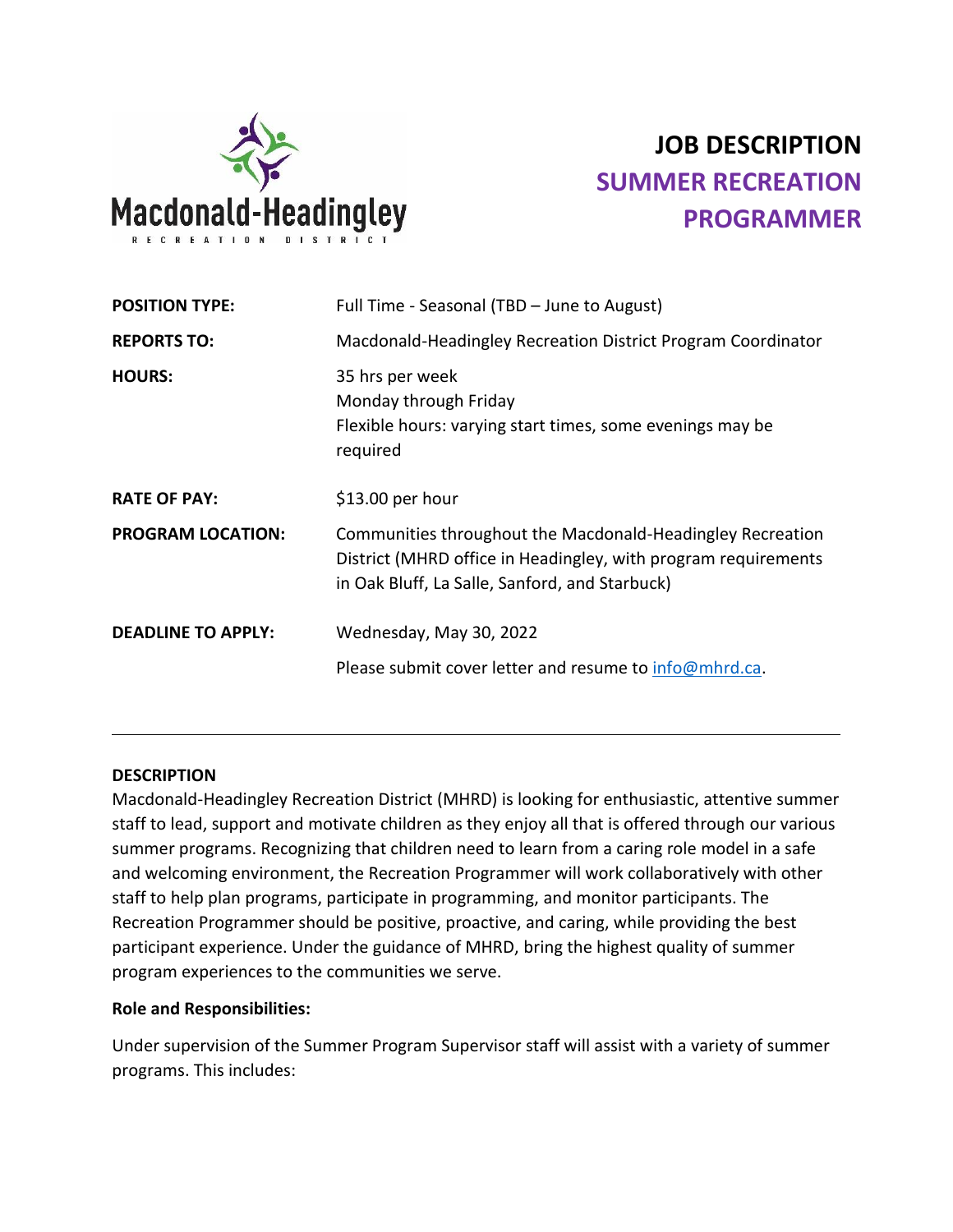

# **JOB DESCRIPTION SUMMER RECREATION PROGRAMMER**

| Full Time - Seasonal (TBD - June to August)                                                                                                                                    |
|--------------------------------------------------------------------------------------------------------------------------------------------------------------------------------|
| Macdonald-Headingley Recreation District Program Coordinator                                                                                                                   |
| 35 hrs per week<br>Monday through Friday<br>Flexible hours: varying start times, some evenings may be<br>required                                                              |
| $$13.00$ per hour                                                                                                                                                              |
| Communities throughout the Macdonald-Headingley Recreation<br>District (MHRD office in Headingley, with program requirements<br>in Oak Bluff, La Salle, Sanford, and Starbuck) |
| Wednesday, May 30, 2022                                                                                                                                                        |
| Please submit cover letter and resume to info@mhrd.ca.                                                                                                                         |
|                                                                                                                                                                                |

#### **DESCRIPTION**

Macdonald-Headingley Recreation District (MHRD) is looking for enthusiastic, attentive summer staff to lead, support and motivate children as they enjoy all that is offered through our various summer programs. Recognizing that children need to learn from a caring role model in a safe and welcoming environment, the Recreation Programmer will work collaboratively with other staff to help plan programs, participate in programming, and monitor participants. The Recreation Programmer should be positive, proactive, and caring, while providing the best participant experience. Under the guidance of MHRD, bring the highest quality of summer program experiences to the communities we serve.

#### **Role and Responsibilities:**

Under supervision of the Summer Program Supervisor staff will assist with a variety of summer programs. This includes: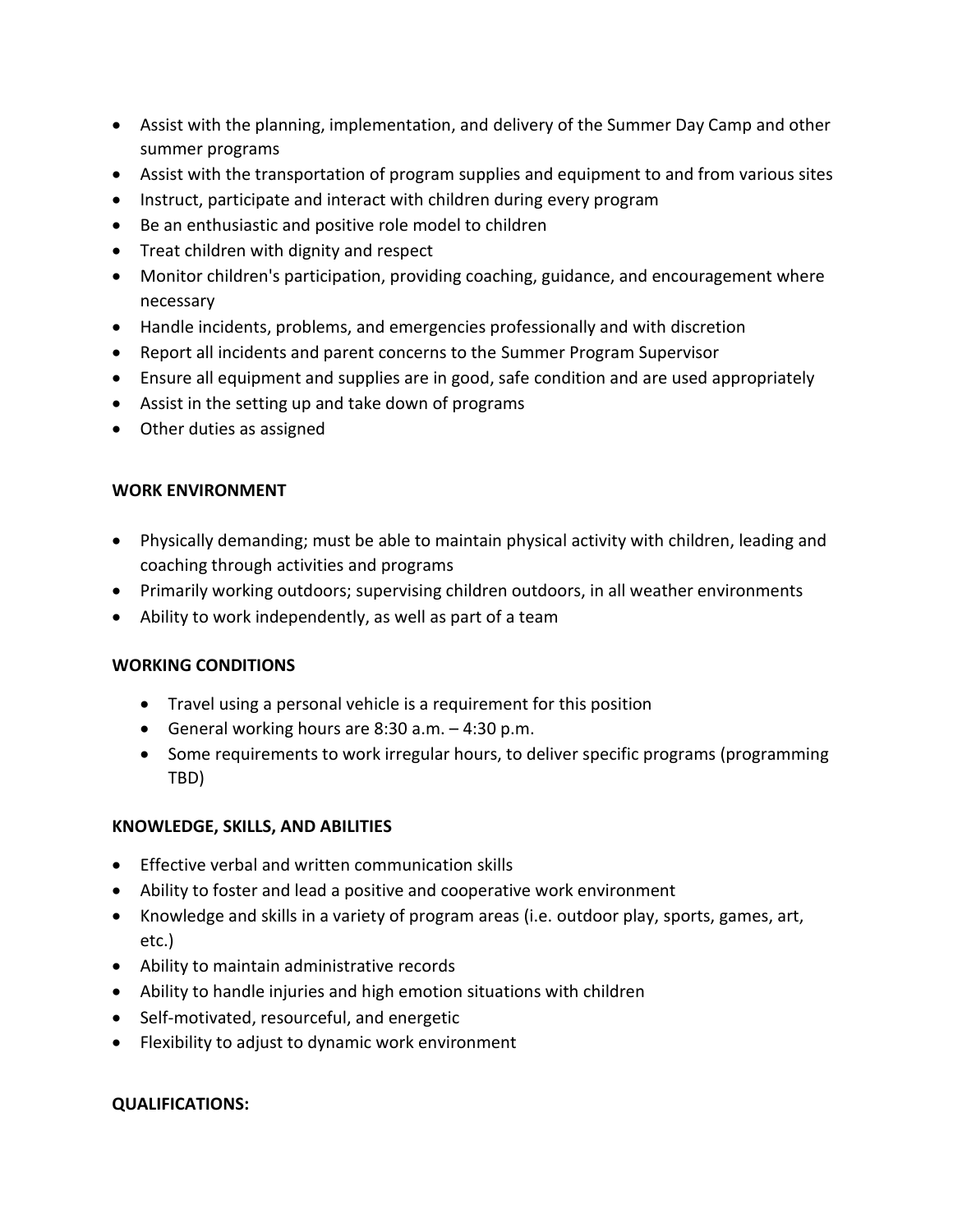- Assist with the planning, implementation, and delivery of the Summer Day Camp and other summer programs
- Assist with the transportation of program supplies and equipment to and from various sites
- Instruct, participate and interact with children during every program
- Be an enthusiastic and positive role model to children
- Treat children with dignity and respect
- Monitor children's participation, providing coaching, guidance, and encouragement where necessary
- Handle incidents, problems, and emergencies professionally and with discretion
- Report all incidents and parent concerns to the Summer Program Supervisor
- Ensure all equipment and supplies are in good, safe condition and are used appropriately
- Assist in the setting up and take down of programs
- Other duties as assigned

# **WORK ENVIRONMENT**

- Physically demanding; must be able to maintain physical activity with children, leading and coaching through activities and programs
- Primarily working outdoors; supervising children outdoors, in all weather environments
- Ability to work independently, as well as part of a team

## **WORKING CONDITIONS**

- Travel using a personal vehicle is a requirement for this position
- General working hours are 8:30 a.m. 4:30 p.m.
- Some requirements to work irregular hours, to deliver specific programs (programming TBD)

## **KNOWLEDGE, SKILLS, AND ABILITIES**

- Effective verbal and written communication skills
- Ability to foster and lead a positive and cooperative work environment
- Knowledge and skills in a variety of program areas (i.e. outdoor play, sports, games, art, etc.)
- Ability to maintain administrative records
- Ability to handle injuries and high emotion situations with children
- Self-motivated, resourceful, and energetic
- Flexibility to adjust to dynamic work environment

## **QUALIFICATIONS:**